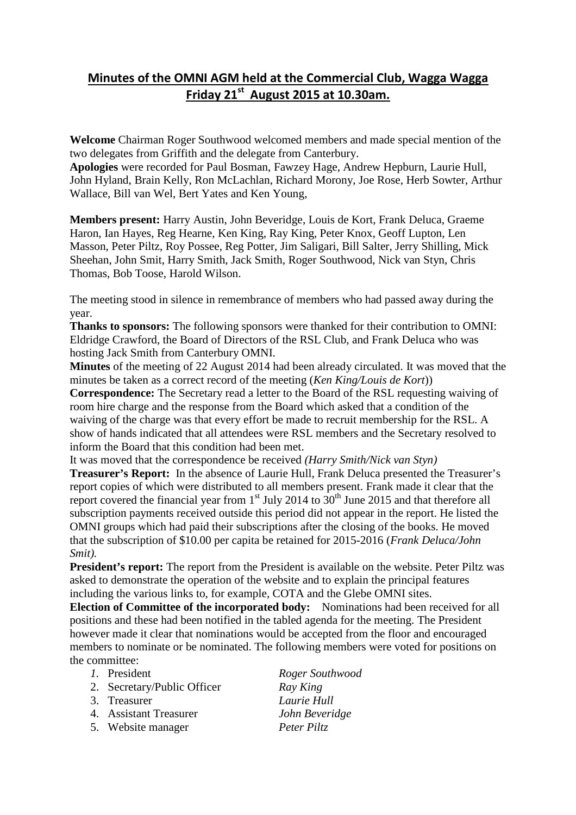## **Minutes of the OMNI AGM held at the Commercial Club, Wagga Wagga Friday 21st August 2015 at 10.30am.**

**Welcome** Chairman Roger Southwood welcomed members and made special mention of the two delegates from Griffith and the delegate from Canterbury.

**Apologies** were recorded for Paul Bosman, Fawzey Hage, Andrew Hepburn, Laurie Hull, John Hyland, Brain Kelly, Ron McLachlan, Richard Morony, Joe Rose, Herb Sowter, Arthur Wallace, Bill van Wel, Bert Yates and Ken Young,

**Members present:** Harry Austin, John Beveridge, Louis de Kort, Frank Deluca, Graeme Haron, Ian Hayes, Reg Hearne, Ken King, Ray King, Peter Knox, Geoff Lupton, Len Masson, Peter Piltz, Roy Possee, Reg Potter, Jim Saligari, Bill Salter, Jerry Shilling, Mick Sheehan, John Smit, Harry Smith, Jack Smith, Roger Southwood, Nick van Styn, Chris Thomas, Bob Toose, Harold Wilson.

The meeting stood in silence in remembrance of members who had passed away during the year.

**Thanks to sponsors:** The following sponsors were thanked for their contribution to OMNI: Eldridge Crawford, the Board of Directors of the RSL Club, and Frank Deluca who was hosting Jack Smith from Canterbury OMNI.

**Minutes** of the meeting of 22 August 2014 had been already circulated. It was moved that the minutes be taken as a correct record of the meeting (*Ken King/Louis de Kort*))

**Correspondence:** The Secretary read a letter to the Board of the RSL requesting waiving of room hire charge and the response from the Board which asked that a condition of the waiving of the charge was that every effort be made to recruit membership for the RSL. A show of hands indicated that all attendees were RSL members and the Secretary resolved to inform the Board that this condition had been met.

It was moved that the correspondence be received *(Harry Smith/Nick van Styn)* **Treasurer's Report:** In the absence of Laurie Hull, Frank Deluca presented the Treasurer's report copies of which were distributed to all members present. Frank made it clear that the report covered the financial year from  $1<sup>st</sup>$  July 2014 to  $30<sup>th</sup>$  June 2015 and that therefore all subscription payments received outside this period did not appear in the report. He listed the OMNI groups which had paid their subscriptions after the closing of the books. He moved that the subscription of \$10.00 per capita be retained for 2015-2016 (*Frank Deluca/John Smit).*

**President's report:** The report from the President is available on the website. Peter Piltz was asked to demonstrate the operation of the website and to explain the principal features including the various links to, for example, COTA and the Glebe OMNI sites.

**Election of Committee of the incorporated body:** Nominations had been received for all positions and these had been notified in the tabled agenda for the meeting. The President however made it clear that nominations would be accepted from the floor and encouraged members to nominate or be nominated. The following members were voted for positions on the committee:

## *1.* President *Roger Southwood*

- 2. Secretary/Public Officer *Ray King*
- 3. Treasurer *Laurie Hull*

4. Assistant Treasurer *John Beveridge*

5. Website manager *Peter Piltz*